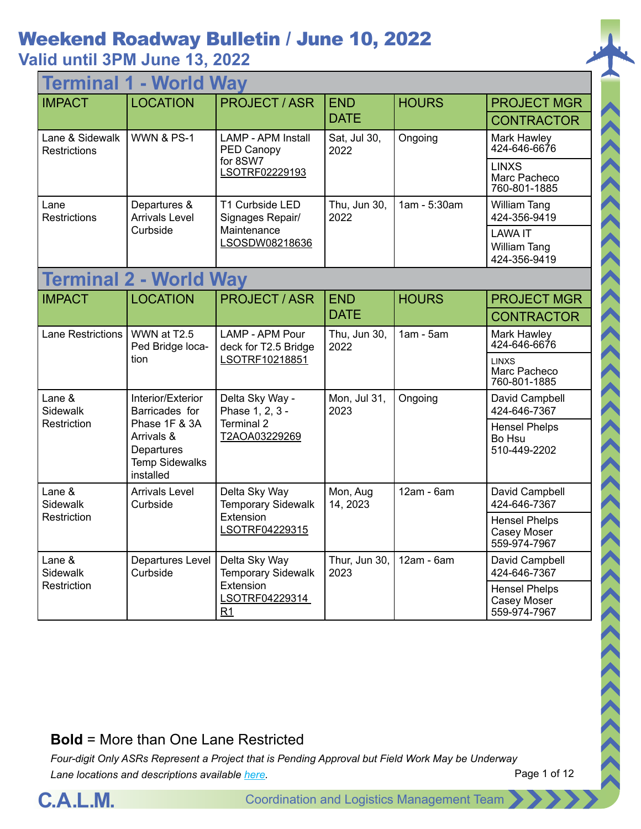## **Valid until 3PM June 13, 2022**

| <b>Terminal 1 - World Way</b>          |                                                                                 |                                            |                           |              |                                                       |  |  |
|----------------------------------------|---------------------------------------------------------------------------------|--------------------------------------------|---------------------------|--------------|-------------------------------------------------------|--|--|
| <b>IMPACT</b>                          | <b>LOCATION</b>                                                                 | <b>PROJECT/ASR</b>                         | <b>END</b>                | <b>HOURS</b> | <b>PROJECT MGR</b>                                    |  |  |
|                                        |                                                                                 |                                            | <b>DATE</b>               |              | <b>CONTRACTOR</b>                                     |  |  |
| Lane & Sidewalk<br><b>Restrictions</b> | <b>WWN &amp; PS-1</b>                                                           | <b>LAMP - APM Install</b><br>PED Canopy    | Sat, Jul 30,<br>2022      | Ongoing      | Mark Hawley<br>424-646-6676                           |  |  |
|                                        |                                                                                 | for 8SW7<br>LSOTRF02229193                 |                           |              | <b>LINXS</b><br>Marc Pacheco<br>760-801-1885          |  |  |
| Lane<br>Restrictions                   | Departures &<br><b>Arrivals Level</b>                                           | T1 Curbside LED<br>Signages Repair/        | Thu, Jun 30,<br>2022      | 1am - 5:30am | <b>William Tang</b><br>424-356-9419                   |  |  |
|                                        | Curbside                                                                        | Maintenance<br>LSOSDW08218636              |                           |              | <b>LAWA IT</b><br><b>William Tang</b><br>424-356-9419 |  |  |
|                                        | <b>Terminal 2 - World Way</b>                                                   |                                            |                           |              |                                                       |  |  |
| <b>IMPACT</b>                          | <b>LOCATION</b>                                                                 | <b>PROJECT/ASR</b>                         | <b>END</b><br><b>DATE</b> | <b>HOURS</b> | <b>PROJECT MGR</b>                                    |  |  |
|                                        |                                                                                 |                                            |                           |              | <b>CONTRACTOR</b>                                     |  |  |
| <b>Lane Restrictions</b>               | WWN at T2.5<br>Ped Bridge loca-                                                 | LAMP - APM Pour<br>deck for T2.5 Bridge    | Thu, Jun 30,<br>2022      | $1am - 5am$  | <b>Mark Hawley</b><br>424-646-6676                    |  |  |
|                                        | tion                                                                            | LSOTRF10218851                             |                           |              | <b>LINXS</b><br>Marc Pacheco<br>760-801-1885          |  |  |
| Lane &<br>Sidewalk                     | Interior/Exterior<br>Barricades for                                             | Delta Sky Way -<br>Phase 1, 2, 3 -         | Mon, Jul 31,<br>2023      | Ongoing      | David Campbell<br>424-646-7367                        |  |  |
| Restriction                            | Phase 1F & 3A<br>Arrivals &<br>Departures<br><b>Temp Sidewalks</b><br>installed | Terminal 2<br>T2AOA03229269                |                           |              | <b>Hensel Phelps</b><br>Bo Hsu<br>510-449-2202        |  |  |
| Lane &<br>Sidewalk                     | <b>Arrivals Level</b><br>Curbside                                               | Delta Sky Way<br><b>Temporary Sidewalk</b> | Mon, Aug<br>14, 2023      | 12am - 6am   | David Campbell<br>424-646-7367                        |  |  |
| Restriction                            |                                                                                 | Extension<br>LSOTRF04229315                |                           |              | <b>Hensel Phelps</b><br>Casey Moser<br>559-974-7967   |  |  |
| Lane &<br>Sidewalk                     | Departures Level<br>Curbside                                                    | Delta Sky Way<br><b>Temporary Sidewalk</b> | Thur, Jun 30,<br>2023     | $12am - 6am$ | David Campbell<br>424-646-7367                        |  |  |
| Restriction                            |                                                                                 | Extension<br>LSOTRF04229314<br>R1          |                           |              | <b>Hensel Phelps</b><br>Casey Moser<br>559-974-7967   |  |  |

#### **Bold** = More than One Lane Restricted

*Four-digit Only ASRs Represent a Project that is Pending Approval but Field Work May be Underway Lane locations and descriptions available [here](http://slaxadgmss001/sites/CALMSHARE/Shared%20Documents/CTA_Lane_Descriptions.pdf).*



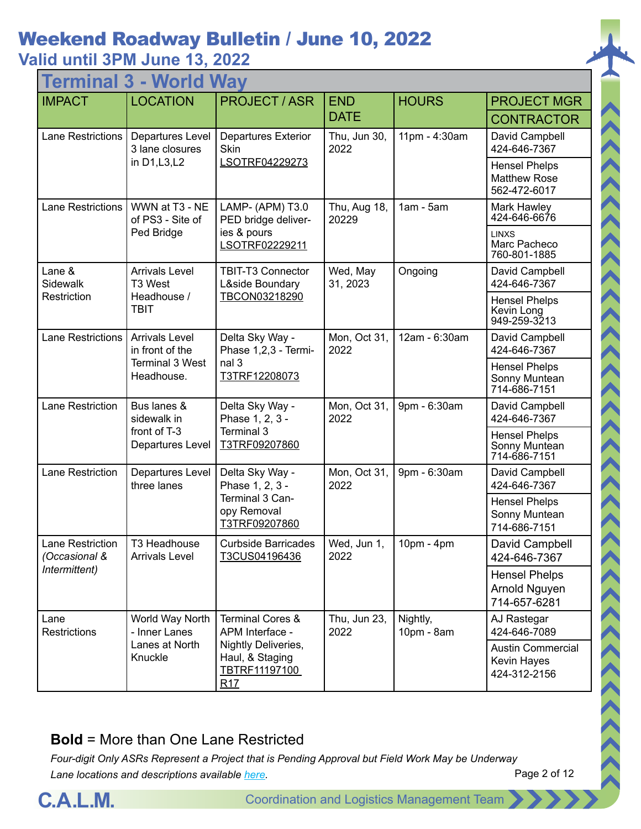## **Valid until 3PM June 13, 2022**

| - World Way<br><b>Termina</b>     |                                          |                                                                |                       |                        |                                                             |  |  |
|-----------------------------------|------------------------------------------|----------------------------------------------------------------|-----------------------|------------------------|-------------------------------------------------------------|--|--|
| <b>IMPACT</b>                     | <b>LOCATION</b>                          | <b>PROJECT / ASR</b>                                           | <b>END</b>            | <b>HOURS</b>           | <b>PROJECT MGR</b>                                          |  |  |
|                                   |                                          |                                                                | <b>DATE</b>           |                        | <b>CONTRACTOR</b>                                           |  |  |
| <b>Lane Restrictions</b>          | Departures Level<br>3 lane closures      | <b>Departures Exterior</b><br>Skin                             | Thu, Jun 30,<br>2022  | 11pm - 4:30am          | David Campbell<br>424-646-7367                              |  |  |
|                                   | in D1, L3, L2                            | LSOTRF04229273                                                 |                       |                        | <b>Hensel Phelps</b><br><b>Matthew Rose</b><br>562-472-6017 |  |  |
| <b>Lane Restrictions</b>          | WWN at T3 - NE<br>of PS3 - Site of       | LAMP- (APM) T3.0<br>PED bridge deliver-                        | Thu, Aug 18,<br>20229 | $1am - 5am$            | Mark Hawley<br>424-646-6676                                 |  |  |
|                                   | Ped Bridge                               | ies & pours<br>LSOTRF02229211                                  |                       |                        | <b>LINXS</b><br>Marc Pacheco<br>760-801-1885                |  |  |
| Lane &<br>Sidewalk                | <b>Arrivals Level</b><br>T3 West         | <b>TBIT-T3 Connector</b><br>L&side Boundary                    | Wed, May<br>31, 2023  | Ongoing                | David Campbell<br>424-646-7367                              |  |  |
| Restriction                       | Headhouse /<br><b>TBIT</b>               | TBCON03218290                                                  |                       |                        | <b>Hensel Phelps</b><br>Kevin Long<br>949-259-3213          |  |  |
| <b>Lane Restrictions</b>          | <b>Arrivals Level</b><br>in front of the | Delta Sky Way -<br>Phase 1,2,3 - Termi-                        | Mon, Oct 31,<br>2022  | 12am - 6:30am          | David Campbell<br>424-646-7367                              |  |  |
|                                   | <b>Terminal 3 West</b><br>Headhouse.     | nal 3<br>T3TRF12208073                                         |                       |                        | <b>Hensel Phelps</b><br>Sonny Muntean<br>714-686-7151       |  |  |
| Lane Restriction                  | Bus lanes &<br>sidewalk in               | Delta Sky Way -<br>Phase 1, 2, 3 -                             | Mon, Oct 31,<br>2022  | 9pm - 6:30am           | David Campbell<br>424-646-7367                              |  |  |
|                                   | front of T-3<br>Departures Level         | Terminal 3<br>T3TRF09207860                                    |                       |                        | <b>Hensel Phelps</b><br>Sonny Muntean<br>714-686-7151       |  |  |
| Lane Restriction                  | Departures Level<br>three lanes          | Delta Sky Way -<br>Phase 1, 2, 3 -                             | Mon, Oct 31,<br>2022  | 9pm - 6:30am           | David Campbell<br>424-646-7367                              |  |  |
|                                   |                                          | Terminal 3 Can-<br>opy Removal<br>T3TRF09207860                |                       |                        | <b>Hensel Phelps</b><br>Sonny Muntean<br>714-686-7151       |  |  |
| Lane Restriction<br>(Occasional & | T3 Headhouse<br><b>Arrivals Level</b>    | <b>Curbside Barricades</b><br>T3CUS04196436                    | Wed, Jun 1,<br>2022   | 10pm - 4pm             | David Campbell<br>424-646-7367                              |  |  |
| Intermittent)                     |                                          |                                                                |                       |                        | <b>Hensel Phelps</b><br>Arnold Nguyen<br>714-657-6281       |  |  |
| Lane<br><b>Restrictions</b>       | World Way North<br>- Inner Lanes         | <b>Terminal Cores &amp;</b><br>APM Interface -                 | Thu, Jun 23,<br>2022  | Nightly,<br>10pm - 8am | AJ Rastegar<br>424-646-7089                                 |  |  |
|                                   | Lanes at North<br>Knuckle                | Nightly Deliveries,<br>Haul, & Staging<br>TBTRF11197100<br>R17 |                       |                        | <b>Austin Commercial</b><br>Kevin Hayes<br>424-312-2156     |  |  |

### **Bold** = More than One Lane Restricted

*Four-digit Only ASRs Represent a Project that is Pending Approval but Field Work May be Underway Lane locations and descriptions available [here](http://slaxadgmss001/sites/CALMSHARE/Shared%20Documents/CTA_Lane_Descriptions.pdf).*



 $(2222)$ 

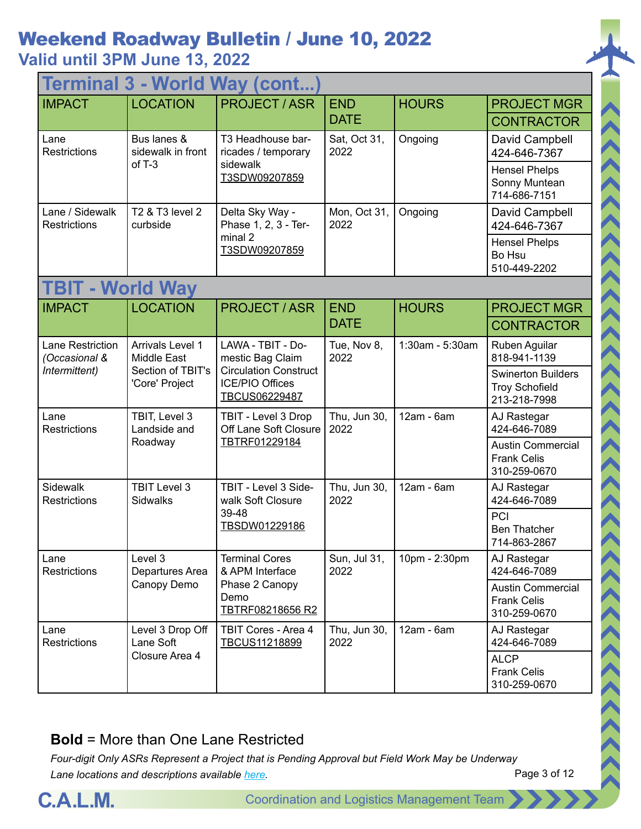## **Valid until 3PM June 13, 2022**

| <b>Terminal 3 - World Way (cont</b>    |                                                                               |                                                                                                                  |                           |                 |                                                                    |  |
|----------------------------------------|-------------------------------------------------------------------------------|------------------------------------------------------------------------------------------------------------------|---------------------------|-----------------|--------------------------------------------------------------------|--|
| <b>IMPACT</b>                          | <b>LOCATION</b>                                                               | <b>PROJECT / ASR</b>                                                                                             | <b>END</b><br><b>DATE</b> | <b>HOURS</b>    | <b>PROJECT MGR</b><br><b>CONTRACTOR</b>                            |  |
| Lane<br><b>Restrictions</b>            | Bus lanes &<br>sidewalk in front<br>$of T-3$                                  | T3 Headhouse bar-<br>ricades / temporary                                                                         | Sat, Oct 31,<br>2022      | Ongoing         | David Campbell<br>424-646-7367                                     |  |
|                                        |                                                                               | sidewalk<br>T3SDW09207859                                                                                        |                           |                 | <b>Hensel Phelps</b><br>Sonny Muntean<br>714-686-7151              |  |
| Lane / Sidewalk<br><b>Restrictions</b> | T2 & T3 level 2<br>curbside                                                   | Delta Sky Way -<br>Phase 1, 2, 3 - Ter-                                                                          | Mon, Oct 31,<br>2022      | Ongoing         | David Campbell<br>424-646-7367                                     |  |
|                                        |                                                                               | minal 2<br>T3SDW09207859                                                                                         |                           |                 | <b>Hensel Phelps</b><br>Bo Hsu<br>510-449-2202                     |  |
| <b>TBIT - World Way</b>                |                                                                               |                                                                                                                  |                           |                 |                                                                    |  |
| <b>IMPACT</b>                          | <b>LOCATION</b>                                                               | <b>PROJECT / ASR</b>                                                                                             | <b>END</b>                | <b>HOURS</b>    | <b>PROJECT MGR</b>                                                 |  |
|                                        |                                                                               |                                                                                                                  | <b>DATE</b>               |                 | <b>CONTRACTOR</b>                                                  |  |
| Lane Restriction<br>(Occasional &      | Arrivals Level 1<br><b>Middle East</b><br>Section of TBIT's<br>'Core' Project | LAWA - TBIT - Do-<br>mestic Bag Claim<br><b>Circulation Construct</b><br><b>ICE/PIO Offices</b><br>TBCUS06229487 | Tue, Nov 8,<br>2022       | 1:30am - 5:30am | Ruben Aguilar<br>818-941-1139                                      |  |
| Intermittent)                          |                                                                               |                                                                                                                  |                           |                 | <b>Swinerton Builders</b><br><b>Troy Schofield</b><br>213-218-7998 |  |
| Lane<br><b>Restrictions</b>            | TBIT, Level 3<br>Landside and                                                 | TBIT - Level 3 Drop<br>Off Lane Soft Closure                                                                     | Thu, Jun 30,<br>2022      | 12am - 6am      | AJ Rastegar<br>424-646-7089                                        |  |
|                                        | Roadway                                                                       | TBTRF01229184                                                                                                    |                           |                 | <b>Austin Commercial</b><br><b>Frank Celis</b><br>310-259-0670     |  |
| Sidewalk<br><b>Restrictions</b>        | <b>TBIT Level 3</b><br><b>Sidwalks</b>                                        | TBIT - Level 3 Side-<br>walk Soft Closure                                                                        | Thu, Jun 30,<br>2022      | $12am - 6am$    | AJ Rastegar<br>424-646-7089                                        |  |
|                                        |                                                                               | 39-48<br>TBSDW01229186                                                                                           |                           |                 | PCI<br><b>Ben Thatcher</b><br>714-863-2867                         |  |
| Lane<br><b>Restrictions</b>            | Level 3<br>Departures Area                                                    | <b>Terminal Cores</b><br>& APM Interface                                                                         | Sun, Jul 31,<br>2022      | 10pm - 2:30pm   | AJ Rastegar<br>424-646-7089                                        |  |
|                                        | Canopy Demo                                                                   | Phase 2 Canopy<br>Demo<br>TBTRF08218656 R2                                                                       |                           |                 | <b>Austin Commercial</b><br><b>Frank Celis</b><br>310-259-0670     |  |
| Lane<br><b>Restrictions</b>            | Level 3 Drop Off<br>Lane Soft                                                 | TBIT Cores - Area 4<br>TBCUS11218899                                                                             | Thu, Jun 30,<br>2022      | $12am - 6am$    | AJ Rastegar<br>424-646-7089                                        |  |
|                                        | Closure Area 4                                                                |                                                                                                                  |                           |                 | <b>ALCP</b><br><b>Frank Celis</b><br>310-259-0670                  |  |

#### **Bold** = More than One Lane Restricted

*Four-digit Only ASRs Represent a Project that is Pending Approval but Field Work May be Underway Lane locations and descriptions available [here](http://slaxadgmss001/sites/CALMSHARE/Shared%20Documents/CTA_Lane_Descriptions.pdf).*



ハイハイス くくくくくくくくくくくくくくくくくくくくくくく

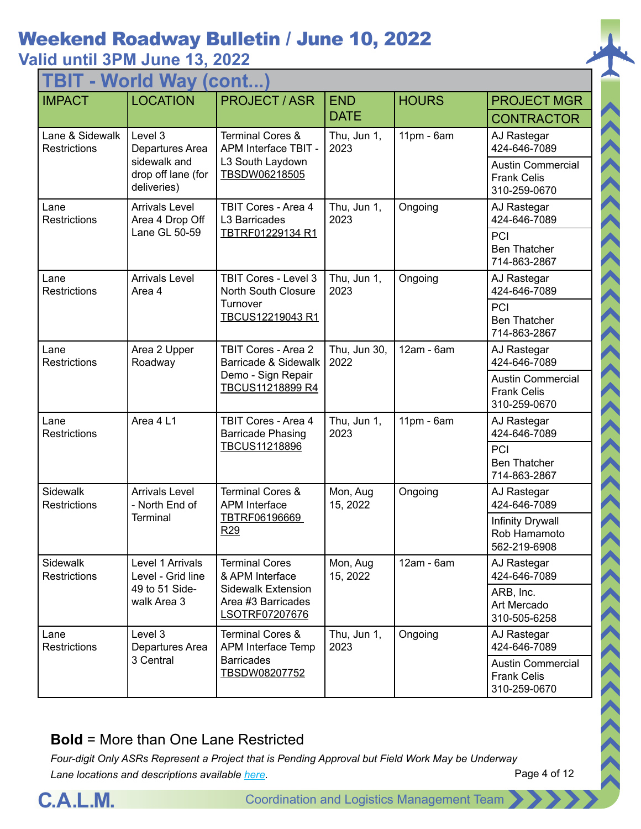**TBIT - World Way (cont...)**

| 1 D I I<br><b>TYYUHU YYAY</b><br>1 CUI I L.I. |                                                   |                                                                   |                      |              |                                                                |  |  |
|-----------------------------------------------|---------------------------------------------------|-------------------------------------------------------------------|----------------------|--------------|----------------------------------------------------------------|--|--|
| <b>IMPACT</b>                                 | <b>LOCATION</b>                                   | <b>PROJECT / ASR</b>                                              | <b>END</b>           | <b>HOURS</b> | <b>PROJECT MGR</b>                                             |  |  |
|                                               |                                                   |                                                                   | <b>DATE</b>          |              | <b>CONTRACTOR</b>                                              |  |  |
| Lane & Sidewalk<br><b>Restrictions</b>        | Level 3<br>Departures Area                        | <b>Terminal Cores &amp;</b><br>APM Interface TBIT -               | Thu, Jun 1,<br>2023  | $11pm - 6am$ | AJ Rastegar<br>424-646-7089                                    |  |  |
|                                               | sidewalk and<br>drop off lane (for<br>deliveries) | L3 South Laydown<br>TBSDW06218505                                 |                      |              | <b>Austin Commercial</b><br><b>Frank Celis</b><br>310-259-0670 |  |  |
| Lane<br><b>Restrictions</b>                   | <b>Arrivals Level</b><br>Area 4 Drop Off          | <b>TBIT Cores - Area 4</b><br>L3 Barricades                       | Thu, Jun 1,<br>2023  | Ongoing      | AJ Rastegar<br>424-646-7089                                    |  |  |
|                                               | Lane GL 50-59                                     | TBTRF01229134 R1                                                  |                      |              | PCI<br><b>Ben Thatcher</b><br>714-863-2867                     |  |  |
| Lane<br><b>Restrictions</b>                   | <b>Arrivals Level</b><br>Area 4                   | <b>TBIT Cores - Level 3</b><br><b>North South Closure</b>         | Thu, Jun 1,<br>2023  | Ongoing      | AJ Rastegar<br>424-646-7089                                    |  |  |
|                                               |                                                   | Turnover<br>TBCUS12219043 R1                                      |                      |              | PCI<br><b>Ben Thatcher</b><br>714-863-2867                     |  |  |
| Lane<br><b>Restrictions</b>                   | Area 2 Upper<br>Roadway                           | <b>TBIT Cores - Area 2</b><br>Barricade & Sidewalk                | Thu, Jun 30,<br>2022 | 12am - 6am   | AJ Rastegar<br>424-646-7089                                    |  |  |
|                                               |                                                   | Demo - Sign Repair<br>TBCUS11218899 R4                            |                      |              | <b>Austin Commercial</b><br><b>Frank Celis</b><br>310-259-0670 |  |  |
| Lane<br><b>Restrictions</b>                   | Area 4 L1                                         | <b>TBIT Cores - Area 4</b><br>Barricade Phasing                   | Thu, Jun 1,<br>2023  | 11pm - 6am   | AJ Rastegar<br>424-646-7089                                    |  |  |
|                                               |                                                   | TBCUS11218896                                                     |                      |              | PCI<br><b>Ben Thatcher</b><br>714-863-2867                     |  |  |
| Sidewalk<br><b>Restrictions</b>               | <b>Arrivals Level</b><br>- North End of           | <b>Terminal Cores &amp;</b><br><b>APM</b> Interface               | Mon, Aug<br>15, 2022 | Ongoing      | AJ Rastegar<br>424-646-7089                                    |  |  |
|                                               | <b>Terminal</b>                                   | TBTRF06196669<br>R <sub>29</sub>                                  |                      |              | <b>Infinity Drywall</b><br>Rob Hamamoto<br>562-219-6908        |  |  |
| Sidewalk<br><b>Restrictions</b>               | Level 1 Arrivals<br>Level - Grid line             | <b>Terminal Cores</b><br>& APM Interface                          | Mon, Aug<br>15, 2022 | 12am - 6am   | AJ Rastegar<br>424-646-7089                                    |  |  |
|                                               | 49 to 51 Side-<br>walk Area 3                     | <b>Sidewalk Extension</b><br>Area #3 Barricades<br>LSOTRF07207676 |                      |              | ARB, Inc.<br>Art Mercado<br>310-505-6258                       |  |  |
| Lane<br>Restrictions                          | Level 3<br>Departures Area                        | <b>Terminal Cores &amp;</b><br>APM Interface Temp                 | Thu, Jun 1,<br>2023  | Ongoing      | AJ Rastegar<br>424-646-7089                                    |  |  |
|                                               | 3 Central                                         | <b>Barricades</b><br>TBSDW08207752                                |                      |              | <b>Austin Commercial</b><br><b>Frank Celis</b><br>310-259-0670 |  |  |

#### **Bold** = More than One Lane Restricted



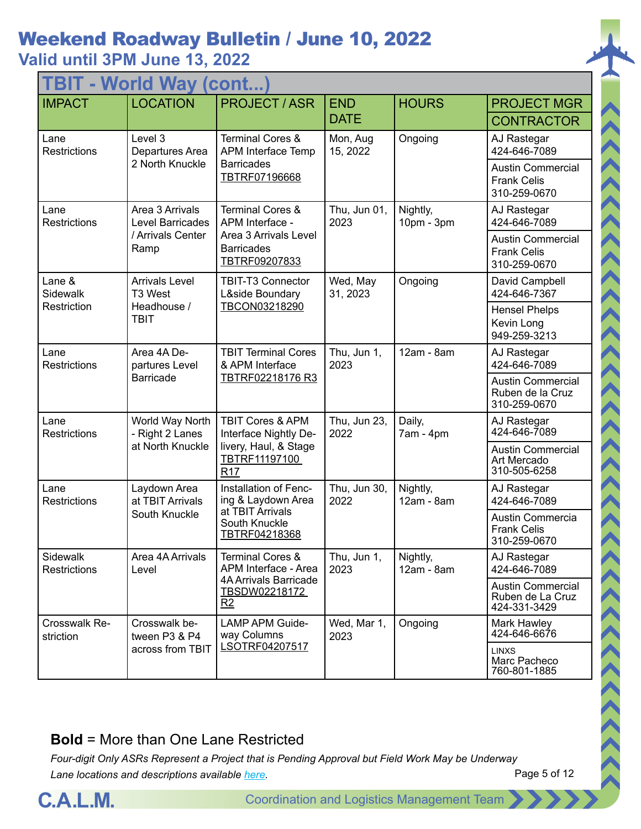| <b>TBIT - World Way (cont</b>   |                                     |                                                                   |                      |                          |                                                                |  |  |
|---------------------------------|-------------------------------------|-------------------------------------------------------------------|----------------------|--------------------------|----------------------------------------------------------------|--|--|
| <b>IMPACT</b>                   | <b>LOCATION</b>                     | <b>PROJECT / ASR</b>                                              | <b>END</b>           | <b>HOURS</b>             | <b>PROJECT MGR</b>                                             |  |  |
|                                 |                                     |                                                                   | <b>DATE</b>          |                          | <b>CONTRACTOR</b>                                              |  |  |
| Lane<br><b>Restrictions</b>     | Level 3<br>Departures Area          | <b>Terminal Cores &amp;</b><br>APM Interface Temp                 | Mon, Aug<br>15, 2022 | Ongoing                  | AJ Rastegar<br>424-646-7089                                    |  |  |
|                                 | 2 North Knuckle                     | <b>Barricades</b><br>TBTRF07196668                                |                      |                          | <b>Austin Commercial</b><br><b>Frank Celis</b><br>310-259-0670 |  |  |
| Lane<br><b>Restrictions</b>     | Area 3 Arrivals<br>Level Barricades | <b>Terminal Cores &amp;</b><br>APM Interface -                    | Thu, Jun 01,<br>2023 | Nightly,<br>10pm - 3pm   | AJ Rastegar<br>424-646-7089                                    |  |  |
|                                 | / Arrivals Center<br>Ramp           | Area 3 Arrivals Level<br><b>Barricades</b><br>TBTRF09207833       |                      |                          | <b>Austin Commercial</b><br><b>Frank Celis</b><br>310-259-0670 |  |  |
| Lane &<br>Sidewalk              | <b>Arrivals Level</b><br>T3 West    | <b>TBIT-T3 Connector</b><br>L&side Boundary                       | Wed, May<br>31, 2023 | Ongoing                  | David Campbell<br>424-646-7367                                 |  |  |
| Restriction                     | Headhouse /<br><b>TBIT</b>          | TBCON03218290                                                     |                      |                          | <b>Hensel Phelps</b><br>Kevin Long<br>949-259-3213             |  |  |
| Lane<br><b>Restrictions</b>     | Area 4A De-<br>partures Level       | <b>TBIT Terminal Cores</b><br>& APM Interface<br>TBTRF02218176 R3 | Thu, Jun 1,<br>2023  | 12am - 8am               | AJ Rastegar<br>424-646-7089                                    |  |  |
|                                 | <b>Barricade</b>                    |                                                                   |                      |                          | <b>Austin Commercial</b><br>Ruben de la Cruz<br>310-259-0670   |  |  |
| Lane<br><b>Restrictions</b>     | World Way North<br>- Right 2 Lanes  | <b>TBIT Cores &amp; APM</b><br>Interface Nightly De-              | Thu, Jun 23,<br>2022 | Daily,<br>7am - 4pm      | AJ Rastegar<br>424-646-7089                                    |  |  |
|                                 | at North Knuckle                    | livery, Haul, & Stage<br>TBTRF11197100<br>R <sub>17</sub>         |                      |                          | <b>Austin Commercial</b><br>Art Mercado<br>310-505-6258        |  |  |
| Lane<br>Restrictions            | Laydown Area<br>at TBIT Arrivals    | Installation of Fenc-<br>ing & Laydown Area                       | Thu, Jun 30,<br>2022 | Nightly,<br>12am - 8am   | AJ Rastegar<br>424-646-7089                                    |  |  |
|                                 | South Knuckle                       | at TBIT Arrivals<br>South Knuckle<br>TBTRF04218368                |                      |                          | Austin Commercia<br><b>Frank Celis</b><br>310-259-0670         |  |  |
| Sidewalk<br><b>Restrictions</b> | Area 4A Arrivals<br>Level           | <b>Terminal Cores &amp;</b><br>APM Interface - Area               | Thu, Jun 1,<br>2023  | Nightly,<br>$12am - 8am$ | AJ Rastegar<br>424-646-7089                                    |  |  |
|                                 |                                     | <b>4A Arrivals Barricade</b><br>TBSDW02218172<br>R2               |                      |                          | <b>Austin Commercial</b><br>Ruben de La Cruz<br>424-331-3429   |  |  |
| Crosswalk Re-<br>striction      | Crosswalk be-<br>tween P3 & P4      | <b>LAMP APM Guide-</b><br>way Columns                             | Wed, Mar 1,<br>2023  | Ongoing                  | Mark Hawley<br>424-646-6676                                    |  |  |
|                                 | across from TBIT                    | LSOTRF04207517                                                    |                      |                          | <b>LINXS</b><br>Marc Pacheco<br>760-801-1885                   |  |  |

#### **Bold** = More than One Lane Restricted

*Four-digit Only ASRs Represent a Project that is Pending Approval but Field Work May be Underway Lane locations and descriptions available [here](http://slaxadgmss001/sites/CALMSHARE/Shared%20Documents/CTA_Lane_Descriptions.pdf).*

Page 5 of 12

 $\rightarrow$   $\rightarrow$   $\rightarrow$   $\rightarrow$   $\rightarrow$   $\rightarrow$   $\rightarrow$ 

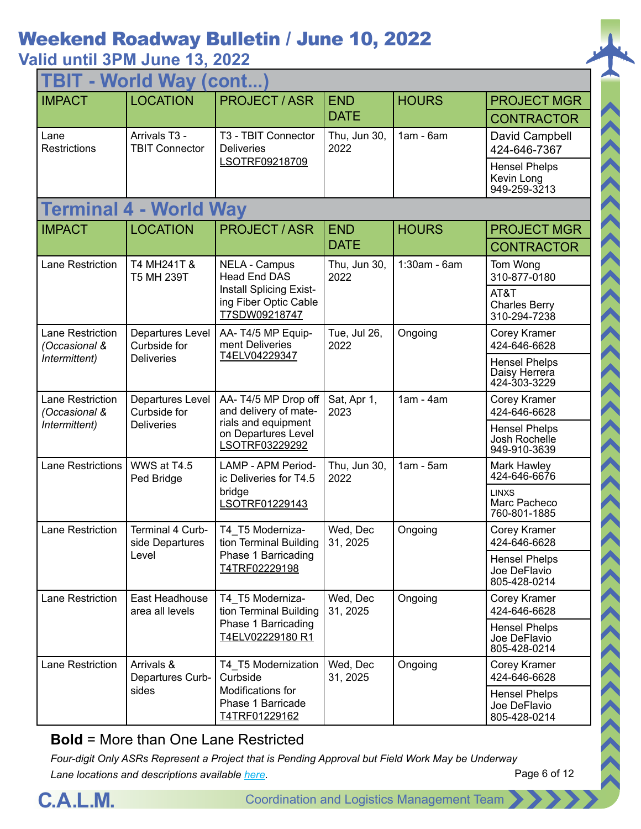| <b>TBIT - World Way (cont</b>            |                                                                                                                |                                                                   |                      |                                                       |                                                       |  |
|------------------------------------------|----------------------------------------------------------------------------------------------------------------|-------------------------------------------------------------------|----------------------|-------------------------------------------------------|-------------------------------------------------------|--|
| <b>IMPACT</b>                            | <b>LOCATION</b>                                                                                                | <b>PROJECT / ASR</b>                                              | <b>END</b>           | <b>HOURS</b>                                          | <b>PROJECT MGR</b>                                    |  |
|                                          |                                                                                                                |                                                                   | <b>DATE</b>          |                                                       | <b>CONTRACTOR</b>                                     |  |
| Lane<br><b>Restrictions</b>              | Arrivals T3 -<br><b>TBIT Connector</b>                                                                         | T3 - TBIT Connector<br><b>Deliveries</b>                          | Thu, Jun 30,<br>2022 | $1am - 6am$                                           | David Campbell<br>424-646-7367                        |  |
|                                          |                                                                                                                | LSOTRF09218709                                                    |                      |                                                       | <b>Hensel Phelps</b><br>Kevin Long<br>949-259-3213    |  |
|                                          | <b>Terminal 4 - World Way</b>                                                                                  |                                                                   |                      |                                                       |                                                       |  |
| <b>IMPACT</b>                            | <b>LOCATION</b>                                                                                                | <b>PROJECT / ASR</b>                                              | <b>END</b>           | <b>HOURS</b>                                          | <b>PROJECT MGR</b>                                    |  |
|                                          |                                                                                                                |                                                                   | <b>DATE</b>          |                                                       | <b>CONTRACTOR</b>                                     |  |
| Lane Restriction                         | T4 MH241T &<br>T5 MH 239T                                                                                      | <b>NELA - Campus</b><br><b>Head End DAS</b>                       | Thu, Jun 30,<br>2022 | $1:30am - 6am$                                        | Tom Wong<br>310-877-0180                              |  |
|                                          |                                                                                                                | Install Splicing Exist-<br>ing Fiber Optic Cable<br>T7SDW09218747 |                      |                                                       | AT&T<br><b>Charles Berry</b><br>310-294-7238          |  |
| <b>Lane Restriction</b><br>(Occasional & | Departures Level<br>AA-T4/5 MP Equip-<br>ment Deliveries<br>Curbside for<br>T4ELV04229347<br><b>Deliveries</b> |                                                                   | Tue, Jul 26,<br>2022 | Ongoing                                               | Corey Kramer<br>424-646-6628                          |  |
| Intermittent)                            |                                                                                                                |                                                                   |                      | <b>Hensel Phelps</b><br>Daisy Herrera<br>424-303-3229 |                                                       |  |
| Lane Restriction<br>(Occasional &        | Departures Level<br>Curbside for                                                                               | AA-T4/5 MP Drop off<br>and delivery of mate-                      | Sat, Apr 1,<br>2023  | $1am - 4am$                                           | Corey Kramer<br>424-646-6628                          |  |
| Intermittent)                            | <b>Deliveries</b>                                                                                              | rials and equipment<br>on Departures Level<br>LSOTRF03229292      |                      |                                                       | <b>Hensel Phelps</b><br>Josh Rochelle<br>949-910-3639 |  |
| <b>Lane Restrictions</b>                 | WWS at T4.5<br>Ped Bridge                                                                                      | <b>LAMP - APM Period-</b><br>ic Deliveries for T4.5               | Thu, Jun 30,<br>2022 | $1am - 5am$                                           | Mark Hawley<br>424-646-6676                           |  |
|                                          |                                                                                                                | bridge<br>LSOTRF01229143                                          |                      |                                                       | <b>LINXS</b><br>Marc Pacheco<br>760-801-1885          |  |
| Lane Restriction                         | Terminal 4 Curb-<br>side Departures                                                                            | T4 T5 Moderniza-<br>tion Terminal Building                        | Wed, Dec<br>31, 2025 | Ongoing                                               | Corey Kramer<br>424-646-6628                          |  |
|                                          | Level                                                                                                          | Phase 1 Barricading<br>T4TRF02229198                              |                      |                                                       | <b>Hensel Phelps</b><br>Joe DeFlavio<br>805-428-0214  |  |
| Lane Restriction                         | East Headhouse<br>area all levels                                                                              | T4_T5 Moderniza-<br>tion Terminal Building                        | Wed, Dec<br>31, 2025 | Ongoing                                               | Corey Kramer<br>424-646-6628                          |  |
|                                          |                                                                                                                | Phase 1 Barricading<br>T4ELV02229180 R1                           |                      |                                                       | <b>Hensel Phelps</b><br>Joe DeFlavio<br>805-428-0214  |  |
| <b>Lane Restriction</b>                  | Arrivals &<br>Departures Curb-                                                                                 | T4_T5 Modernization<br>Curbside                                   | Wed, Dec<br>31, 2025 | Ongoing                                               | Corey Kramer<br>424-646-6628                          |  |
|                                          | sides                                                                                                          | Modifications for<br>Phase 1 Barricade<br>T4TRF01229162           |                      |                                                       | <b>Hensel Phelps</b><br>Joe DeFlavio<br>805-428-0214  |  |

#### **Bold** = More than One Lane Restricted



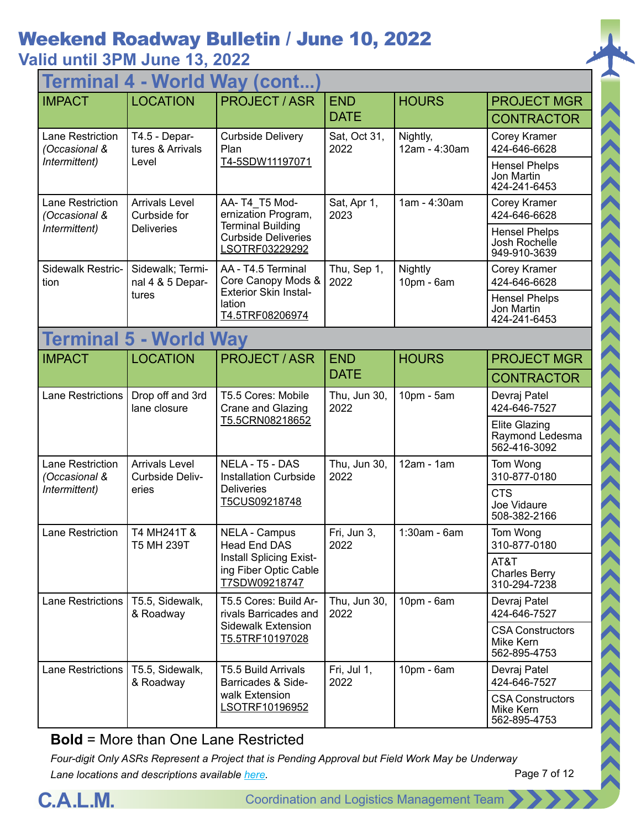| <b>World Way (cont.</b><br>Termina       |                                          |                                                                                      |                           |                           |                                                         |  |
|------------------------------------------|------------------------------------------|--------------------------------------------------------------------------------------|---------------------------|---------------------------|---------------------------------------------------------|--|
| <b>IMPACT</b>                            | <b>LOCATION</b>                          | <b>PROJECT/ASR</b>                                                                   | <b>END</b>                | <b>HOURS</b>              | <b>PROJECT MGR</b>                                      |  |
|                                          |                                          |                                                                                      | <b>DATE</b>               |                           | <b>CONTRACTOR</b>                                       |  |
| Lane Restriction<br>(Occasional &        | T4.5 - Depar-<br>tures & Arrivals        | <b>Curbside Delivery</b><br>Plan                                                     | Sat, Oct 31,<br>2022      | Nightly,<br>12am - 4:30am | Corey Kramer<br>424-646-6628                            |  |
| Intermittent)                            | Level                                    | T4-5SDW11197071                                                                      |                           |                           | <b>Hensel Phelps</b><br>Jon Martin<br>424-241-6453      |  |
| <b>Lane Restriction</b><br>(Occasional & | <b>Arrivals Level</b><br>Curbside for    | AA-T4 T5 Mod-<br>ernization Program,                                                 | Sat, Apr 1,<br>2023       | 1am - 4:30am              | Corey Kramer<br>424-646-6628                            |  |
| Intermittent)                            | <b>Deliveries</b>                        | <b>Terminal Building</b><br><b>Curbside Deliveries</b><br>LSOTRF03229292             |                           |                           | <b>Hensel Phelps</b><br>Josh Rochelle<br>949-910-3639   |  |
| Sidewalk Restric-<br>tion                | Sidewalk; Termi-<br>nal 4 & 5 Depar-     | AA - T4.5 Terminal<br>Core Canopy Mods &                                             | Thu, Sep 1,<br>2022       | Nightly<br>10pm - 6am     | Corey Kramer<br>424-646-6628                            |  |
|                                          | tures                                    | <b>Exterior Skin Instal-</b><br>lation<br>T4.5TRF08206974                            |                           |                           | <b>Hensel Phelps</b><br>Jon Martin<br>424-241-6453      |  |
|                                          | <b>Terminal 5 - World Way</b>            |                                                                                      |                           |                           |                                                         |  |
| <b>IMPACT</b>                            | <b>LOCATION</b>                          | <b>PROJECT / ASR</b>                                                                 | <b>END</b><br><b>DATE</b> | <b>HOURS</b>              | <b>PROJECT MGR</b>                                      |  |
|                                          |                                          |                                                                                      |                           |                           | <b>CONTRACTOR</b>                                       |  |
| Lane Restrictions                        | Drop off and 3rd<br>lane closure         | T5.5 Cores: Mobile<br>Crane and Glazing<br>T5.5CRN08218652                           | Thu, Jun 30,<br>2022      | 10pm - 5am                | Devraj Patel<br>424-646-7527                            |  |
|                                          |                                          |                                                                                      |                           |                           | <b>Elite Glazing</b><br>Raymond Ledesma<br>562-416-3092 |  |
| Lane Restriction<br>(Occasional &        | <b>Arrivals Level</b><br>Curbside Deliv- | NELA - T5 - DAS<br><b>Installation Curbside</b>                                      | Thu, Jun 30,<br>2022      | $12am - 1am$              | Tom Wong<br>310-877-0180                                |  |
| Intermittent)                            | eries                                    | <b>Deliveries</b><br>T5CUS09218748                                                   |                           |                           | <b>CTS</b><br>Joe Vidaure<br>508-382-2166               |  |
| Lane Restriction                         | T4 MH241T &<br>T5 MH 239T                | <b>NELA - Campus</b><br>Head End DAS                                                 | Fri, Jun 3,<br>2022       | 1:30am - 6am              | Tom Wong<br>310-877-0180                                |  |
|                                          |                                          | <b>Install Splicing Exist-</b><br>ing Fiber Optic Cable<br>T7SDW09218747             |                           |                           | AT&T<br><b>Charles Berry</b><br>310-294-7238            |  |
| <b>Lane Restrictions</b>                 | T5.5, Sidewalk,<br>& Roadway             | T5.5 Cores: Build Ar-<br>rivals Barricades and                                       | Thu, Jun 30,<br>2022      | $10pm - 6am$              | Devraj Patel<br>424-646-7527                            |  |
|                                          |                                          | Sidewalk Extension<br>T5.5TRF10197028                                                |                           |                           | <b>CSA Constructors</b><br>Mike Kern<br>562-895-4753    |  |
| Lane Restrictions                        | T5.5, Sidewalk,<br>& Roadway             | <b>T5.5 Build Arrivals</b><br>Barricades & Side-<br>walk Extension<br>LSOTRF10196952 | Fri, Jul 1,<br>2022       | 10pm - 6am                | Devraj Patel<br>424-646-7527                            |  |
|                                          |                                          |                                                                                      |                           |                           | <b>CSA Constructors</b><br>Mike Kern<br>562-895-4753    |  |

**Bold** = More than One Lane Restricted

*Four-digit Only ASRs Represent a Project that is Pending Approval but Field Work May be Underway Lane locations and descriptions available [here](http://slaxadgmss001/sites/CALMSHARE/Shared%20Documents/CTA_Lane_Descriptions.pdf).*

Page 7 of 12

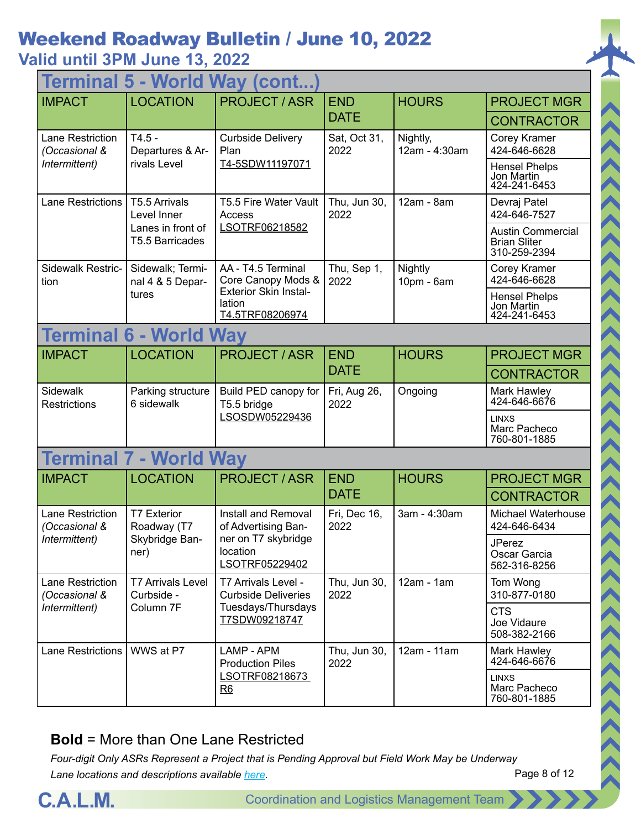## **Valid until 3PM June 13, 2022**

| <b>World Way (cont.</b><br><b>lermin</b> |                                        |                                                           |                      |                           |                                                                 |  |
|------------------------------------------|----------------------------------------|-----------------------------------------------------------|----------------------|---------------------------|-----------------------------------------------------------------|--|
| <b>IMPACT</b>                            | <b>LOCATION</b>                        | <b>PROJECT/ASR</b>                                        | <b>END</b>           | <b>HOURS</b>              | <b>PROJECT MGR</b>                                              |  |
|                                          |                                        |                                                           | <b>DATE</b>          |                           | <b>CONTRACTOR</b>                                               |  |
| Lane Restriction<br>(Occasional &        | $T4.5 -$<br>Departures & Ar-           | <b>Curbside Delivery</b><br>Plan                          | Sat, Oct 31,<br>2022 | Nightly,<br>12am - 4:30am | Corey Kramer<br>424-646-6628                                    |  |
| Intermittent)                            | rivals Level                           | T4-5SDW11197071                                           |                      |                           | <b>Hensel Phelps</b><br>Jon Martin<br>424-241-6453              |  |
| <b>Lane Restrictions</b>                 | T5.5 Arrivals<br>Level Inner           | T5.5 Fire Water Vault<br>Access                           | Thu, Jun 30,<br>2022 | 12am - 8am                | Devraj Patel<br>424-646-7527                                    |  |
|                                          | Lanes in front of<br>T5.5 Barricades   | LSOTRF06218582                                            |                      |                           | <b>Austin Commercial</b><br><b>Brian Sliter</b><br>310-259-2394 |  |
| Sidewalk Restric-<br>tion                | Sidewalk; Termi-<br>nal 4 & 5 Depar-   | AA - T4.5 Terminal<br>Core Canopy Mods &                  | Thu, Sep 1,<br>2022  | Nightly<br>$10pm - 6am$   | Corey Kramer<br>424-646-6628                                    |  |
|                                          | tures                                  | <b>Exterior Skin Instal-</b><br>lation<br>T4.5TRF08206974 |                      |                           | <b>Hensel Phelps</b><br>Jon Martin<br>424-241-6453              |  |
| <b>Terminal</b>                          | - World Way                            |                                                           |                      |                           |                                                                 |  |
| <b>IMPACT</b>                            | <b>LOCATION</b>                        | <b>PROJECT / ASR</b>                                      | <b>END</b>           | <b>HOURS</b>              | <b>PROJECT MGR</b>                                              |  |
|                                          |                                        |                                                           | <b>DATE</b>          |                           | <b>CONTRACTOR</b>                                               |  |
| Sidewalk<br><b>Restrictions</b>          | Parking structure<br>6 sidewalk        | Build PED canopy for<br>T5.5 bridge                       | Fri, Aug 26,<br>2022 | Ongoing                   | Mark Hawley<br>424-646-6676                                     |  |
|                                          |                                        | LSOSDW05229436                                            |                      |                           | <b>LINXS</b><br>Marc Pacheco<br>760-801-1885                    |  |
| <b>Terminal</b>                          | <b>World Way</b>                       |                                                           |                      |                           |                                                                 |  |
| <b>IMPACT</b>                            | <b>LOCATION</b>                        | <b>PROJECT / ASR</b>                                      | <b>END</b>           | <b>HOURS</b>              | <b>PROJECT MGR</b>                                              |  |
|                                          |                                        |                                                           | <b>DATE</b>          |                           | <b>CONTRACTOR</b>                                               |  |
| <b>Lane Restriction</b><br>(Occasional & | <b>T7 Exterior</b><br>Roadway (T7      | Install and Removal<br>of Advertising Ban-                | Fri, Dec 16,<br>2022 | 3am - 4:30am              | Michael Waterhouse<br>424-646-6434                              |  |
| Intermittent)                            | Skybridge Ban-<br>ner)                 | ner on T7 skybridge<br>location<br>LSOTRF05229402         |                      |                           | <b>JPerez</b><br>Oscar Garcia<br>562-316-8256                   |  |
| Lane Restriction<br>(Occasional &        | <b>T7 Arrivals Level</b><br>Curbside - | T7 Arrivals Level -<br><b>Curbside Deliveries</b>         | Thu, Jun 30,<br>2022 | $12am - 1am$              | Tom Wong<br>310-877-0180                                        |  |
| Intermittent)                            | Column <sub>7F</sub>                   | Tuesdays/Thursdays<br>T7SDW09218747                       |                      |                           | <b>CTS</b><br>Joe Vidaure<br>508-382-2166                       |  |
| Lane Restrictions                        | WWS at P7                              | LAMP - APM<br><b>Production Piles</b>                     | Thu, Jun 30,<br>2022 | 12am - 11am               | Mark Hawley<br>424-646-6676                                     |  |
|                                          |                                        | LSOTRF08218673<br>R6                                      |                      |                           | <b>LINXS</b><br>Marc Pacheco<br>760-801-1885                    |  |

### **Bold** = More than One Lane Restricted



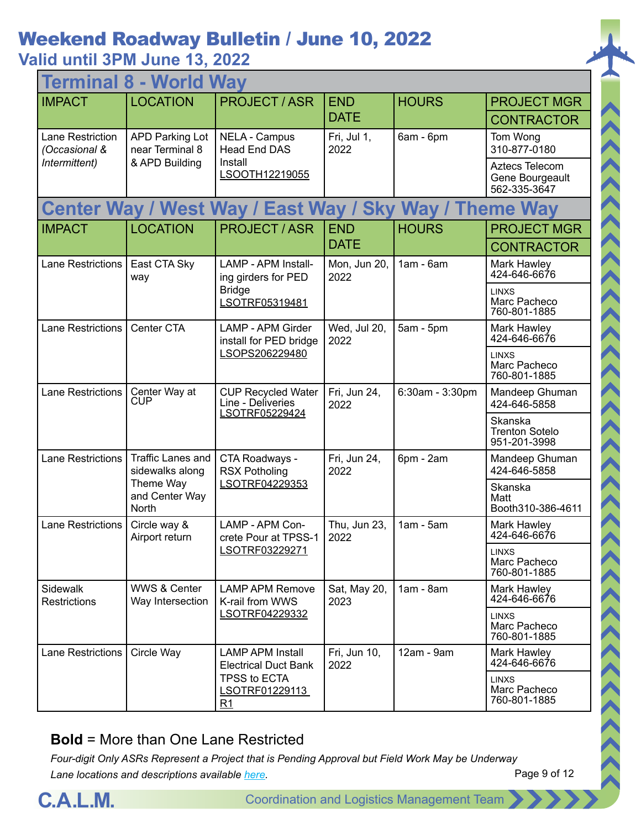## **Valid until 3PM June 13, 2022**

| <b>World Way</b><br>Termin        |                                             |                                                        |                      |                                              |                                                   |  |
|-----------------------------------|---------------------------------------------|--------------------------------------------------------|----------------------|----------------------------------------------|---------------------------------------------------|--|
| <b>IMPACT</b>                     | <b>LOCATION</b>                             | <b>PROJECT / ASR</b>                                   | <b>END</b>           | <b>HOURS</b>                                 | <b>PROJECT MGR</b>                                |  |
|                                   |                                             |                                                        | <b>DATE</b>          |                                              | <b>CONTRACTOR</b>                                 |  |
| Lane Restriction<br>(Occasional & | <b>APD Parking Lot</b><br>near Terminal 8   | <b>NELA - Campus</b><br><b>Head End DAS</b>            | Fri, Jul 1,<br>2022  | 6am - 6pm                                    | Tom Wong<br>310-877-0180                          |  |
| Intermittent)                     | & APD Building                              | Install<br>LSOOTH12219055                              |                      |                                              | Aztecs Telecom<br>Gene Bourgeault<br>562-335-3647 |  |
|                                   |                                             | <b>Center Way / West Way / East Way / Sky</b>          |                      | <b>Way / Theme Way</b>                       |                                                   |  |
| <b>IMPACT</b>                     | <b>LOCATION</b>                             | <b>PROJECT/ASR</b>                                     | <b>END</b>           | <b>HOURS</b>                                 | <b>PROJECT MGR</b>                                |  |
|                                   |                                             |                                                        | <b>DATE</b>          |                                              | <b>CONTRACTOR</b>                                 |  |
| <b>Lane Restrictions</b>          | East CTA Sky<br>way                         | <b>LAMP - APM Install-</b><br>ing girders for PED      | Mon, Jun 20,<br>2022 | $1am - 6am$                                  | Mark Hawley<br>424-646-6676                       |  |
|                                   |                                             | <b>Bridge</b><br>LSOTRF05319481                        |                      |                                              | <b>LINXS</b><br>Marc Pacheco<br>760-801-1885      |  |
| <b>Lane Restrictions</b>          | Center CTA                                  | <b>LAMP - APM Girder</b><br>install for PED bridge     | Wed, Jul 20,<br>2022 | $5am - 5pm$                                  | Mark Hawley<br>424-646-6676                       |  |
|                                   |                                             | LSOPS206229480                                         |                      |                                              | <b>I INXS</b><br>Marc Pacheco<br>760-801-1885     |  |
| <b>Lane Restrictions</b>          | Center Way at<br>CUP                        | <b>CUP Recycled Water</b><br>Line - Deliveries         | Fri, Jun 24,<br>2022 | 6:30am - 3:30pm                              | Mandeep Ghuman<br>424-646-5858                    |  |
|                                   |                                             | LSOTRF05229424                                         |                      |                                              | Skanska<br><b>Trenton Sotelo</b><br>951-201-3998  |  |
| <b>Lane Restrictions</b>          | <b>Traffic Lanes and</b><br>sidewalks along | CTA Roadways -<br><b>RSX Potholing</b>                 | Fri, Jun 24,<br>2022 | 6pm - 2am                                    | Mandeep Ghuman<br>424-646-5858                    |  |
|                                   | Theme Way<br>and Center Way<br>North        | LSOTRF04229353                                         |                      |                                              | Skanska<br>Matt<br>Booth310-386-4611              |  |
| <b>Lane Restrictions</b>          | Circle way &<br>Airport return              | LAMP - APM Con-<br>crete Pour at TPSS-1                | Thu, Jun 23,<br>2022 | $1am - 5am$                                  | Mark Hawley<br>424-646-6676                       |  |
|                                   |                                             | LSOTRF03229271                                         |                      |                                              | <b>LINXS</b><br>Marc Pacheco<br>760-801-1885      |  |
| <b>Sidewalk</b><br>Restrictions   | <b>WWS &amp; Center</b><br>Way Intersection | <b>LAMP APM Remove</b><br>K-rail from WWS              | Sat, May 20,<br>2023 | $1am - 8am$                                  | Mark Hawley<br>424-646-6676                       |  |
|                                   |                                             | LSOTRF04229332                                         |                      | <b>LINXS</b><br>Marc Pacheco<br>760-801-1885 |                                                   |  |
| Lane Restrictions                 | Circle Way                                  | <b>LAMP APM Install</b><br><b>Electrical Duct Bank</b> | Fri, Jun 10,<br>2022 | 12am - 9am                                   | Mark Hawley<br>424-646-6676                       |  |
|                                   |                                             | <b>TPSS to ECTA</b><br>LSOTRF01229113<br>R1            |                      |                                              | <b>LINXS</b><br>Marc Pacheco<br>760-801-1885      |  |

#### **Bold** = More than One Lane Restricted



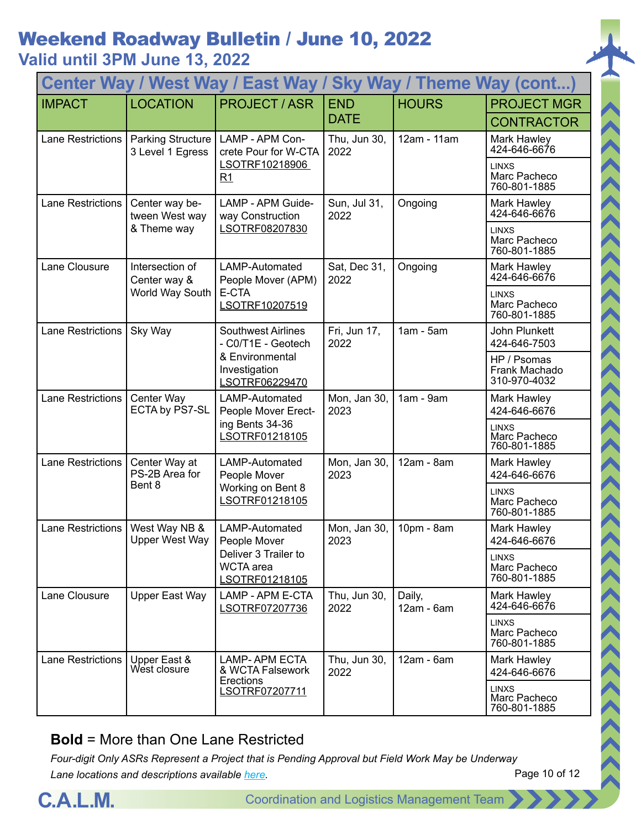**Valid until 3PM June 13, 2022**

| Center Way / West Way / East Way / Sky Way / Theme Way (cont) |                                              |                                                                                                       |                      |                      |                                              |  |
|---------------------------------------------------------------|----------------------------------------------|-------------------------------------------------------------------------------------------------------|----------------------|----------------------|----------------------------------------------|--|
| <b>IMPACT</b>                                                 | <b>LOCATION</b>                              | <b>PROJECT / ASR</b>                                                                                  | <b>END</b>           | <b>HOURS</b>         | <b>PROJECT MGR</b>                           |  |
|                                                               |                                              |                                                                                                       | <b>DATE</b>          |                      | <b>CONTRACTOR</b>                            |  |
| Lane Restrictions                                             | <b>Parking Structure</b><br>3 Level 1 Egress | LAMP - APM Con-<br>crete Pour for W-CTA                                                               | Thu, Jun 30,<br>2022 | 12am - 11am          | Mark Hawley<br>424-646-6676                  |  |
|                                                               |                                              | LSOTRF10218906<br>R1                                                                                  |                      |                      | <b>LINXS</b><br>Marc Pacheco<br>760-801-1885 |  |
| Lane Restrictions                                             | Center way be-<br>tween West way             | LAMP - APM Guide-<br>way Construction                                                                 | Sun, Jul 31,<br>2022 | Ongoing              | Mark Hawley<br>424-646-6676                  |  |
|                                                               | & Theme way                                  | LSOTRF08207830                                                                                        |                      |                      | <b>LINXS</b><br>Marc Pacheco<br>760-801-1885 |  |
| Lane Clousure                                                 | Intersection of<br>Center way &              | LAMP-Automated<br>People Mover (APM)                                                                  | Sat, Dec 31,<br>2022 | Ongoing              | Mark Hawley<br>424-646-6676                  |  |
|                                                               | World Way South                              | E-CTA<br>LSOTRF10207519                                                                               |                      |                      | <b>LINXS</b><br>Marc Pacheco<br>760-801-1885 |  |
| Lane Restrictions                                             | Sky Way                                      | <b>Southwest Airlines</b><br>- C0/T1E - Geotech<br>& Environmental<br>Investigation<br>LSOTRF06229470 | Fri, Jun 17,<br>2022 | $1am - 5am$          | John Plunkett<br>424-646-7503                |  |
|                                                               |                                              |                                                                                                       |                      |                      | HP / Psomas<br>Frank Machado<br>310-970-4032 |  |
| Lane Restrictions                                             | Center Way<br>ECTA by PS7-SL                 | LAMP-Automated<br>People Mover Erect-                                                                 | Mon, Jan 30,<br>2023 | $1am - 9am$          | Mark Hawley<br>424-646-6676                  |  |
|                                                               |                                              | ing Bents 34-36<br>LSOTRF01218105                                                                     |                      |                      | <b>LINXS</b><br>Marc Pacheco<br>760-801-1885 |  |
| Lane Restrictions                                             | Center Way at<br>PS-2B Area for              | LAMP-Automated<br>People Mover                                                                        | Mon, Jan 30,<br>2023 | 12am - 8am           | Mark Hawley<br>424-646-6676                  |  |
|                                                               | Bent 8                                       | Working on Bent 8<br>LSOTRF01218105                                                                   |                      |                      | <b>LINXS</b><br>Marc Pacheco<br>760-801-1885 |  |
| Lane Restrictions                                             | West Way NB &<br><b>Upper West Way</b>       | LAMP-Automated<br>People Mover                                                                        | Mon, Jan 30,<br>2023 | 10pm - 8am           | Mark Hawley<br>424-646-6676                  |  |
|                                                               |                                              | Deliver 3 Trailer to<br><b>WCTA</b> area<br>LSOTRF01218105                                            |                      |                      | <b>LINXS</b><br>Marc Pacheco<br>760-801-1885 |  |
| Lane Clousure                                                 | Upper East Way                               | LAMP - APM E-CTA<br>LSOTRF07207736                                                                    | Thu, Jun 30,<br>2022 | Daily,<br>12am - 6am | Mark Hawley<br>424-646-6676                  |  |
|                                                               |                                              |                                                                                                       |                      |                      | <b>LINXS</b><br>Marc Pacheco<br>760-801-1885 |  |
| Lane Restrictions                                             | Upper East &<br>West closure                 | <b>LAMP-APM ECTA</b><br>& WCTA Falsework                                                              | Thu, Jun 30,<br>2022 | $12am - 6am$         | Mark Hawley<br>424-646-6676                  |  |
|                                                               |                                              | <b>Erections</b><br>LSOTRF07207711                                                                    |                      |                      | <b>LINXS</b><br>Marc Pacheco<br>760-801-1885 |  |

#### **Bold** = More than One Lane Restricted



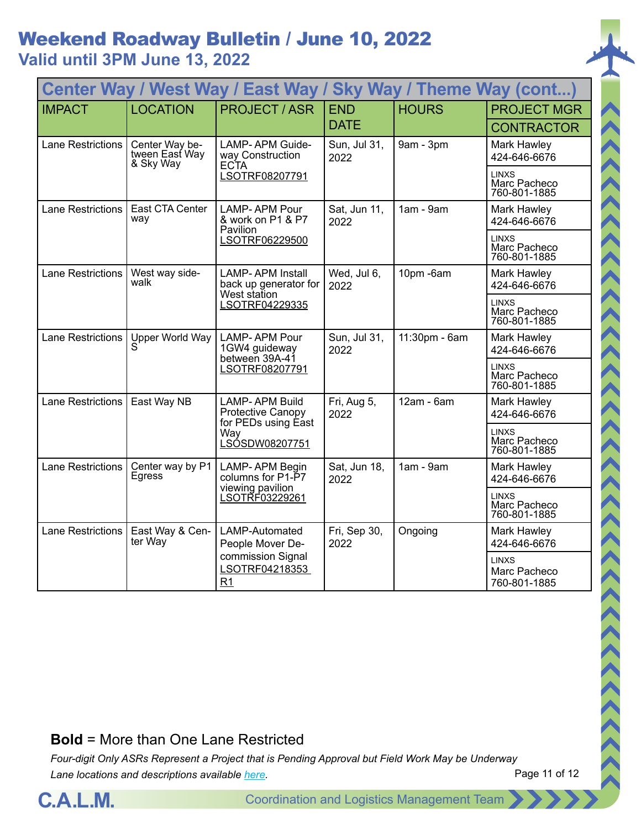| Center Way / West Way / East Way /<br><b>Sky Way / Theme Way (cont)</b> |                                               |                                                                  |                      |               |                                              |  |
|-------------------------------------------------------------------------|-----------------------------------------------|------------------------------------------------------------------|----------------------|---------------|----------------------------------------------|--|
| <b>IMPACT</b>                                                           | <b>LOCATION</b>                               | <b>PROJECT/ASR</b>                                               | <b>END</b>           | <b>HOURS</b>  | <b>PROJECT MGR</b>                           |  |
|                                                                         |                                               |                                                                  | <b>DATE</b>          |               | <b>CONTRACTOR</b>                            |  |
| <b>Lane Restrictions</b>                                                | Center Way be-<br>tween East Way<br>& Sky Way | <b>LAMP-APM Guide-</b><br>way Construction<br><b>ECTA</b>        | Sun, Jul 31,<br>2022 | 9am - 3pm     | Mark Hawley<br>424-646-6676                  |  |
|                                                                         |                                               | LSOTRF08207791                                                   |                      |               | <b>LINXS</b><br>Marc Pacheco<br>760-801-1885 |  |
| <b>Lane Restrictions</b>                                                | East CTA Center<br>way                        | <b>LAMP-APM Pour</b><br>& work on P1 & P7<br>Pavilion            | Sat, Jun 11,<br>2022 | $1am - 9am$   | Mark Hawley<br>424-646-6676                  |  |
|                                                                         |                                               | LSOTRF06229500                                                   |                      |               | <b>LINXS</b><br>Marc Pacheco<br>760-801-1885 |  |
| <b>Lane Restrictions</b>                                                | West way side-<br>walk                        | <b>LAMP-APM Install</b><br>back up generator for<br>West station | Wed, Jul 6,<br>2022  | 10pm-6am      | Mark Hawley<br>424-646-6676                  |  |
|                                                                         |                                               | LSOTRF04229335                                                   |                      |               | <b>LINXS</b><br>Marc Pacheco<br>760-801-1885 |  |
| <b>Lane Restrictions</b>                                                | Upper World Way                               | LAMP-APM Pour<br>1GW4 guideway<br>between 39A-41                 | Sun, Jul 31,<br>2022 | 11:30pm - 6am | Mark Hawley<br>424-646-6676                  |  |
|                                                                         |                                               | LSOTRF08207791                                                   |                      |               | <b>LINXS</b><br>Marc Pacheco<br>760-801-1885 |  |
| <b>Lane Restrictions</b>                                                | East Way NB                                   | <b>LAMP-APM Build</b><br>Protective Canopy                       | Fri, Aug 5,<br>2022  | $12am - 6am$  | Mark Hawley<br>424-646-6676                  |  |
|                                                                         |                                               | for PEDs using East<br>Way<br>LSÓSDW08207751                     |                      |               | <b>LINXS</b><br>Marc Pacheco<br>760-801-1885 |  |
| <b>Lane Restrictions</b>                                                | Center way by P1<br>Egress                    | LAMP-APM Begin<br>columns for P1-P7                              | Sat, Jun 18,<br>2022 | $1am - 9am$   | Mark Hawley<br>424-646-6676                  |  |
|                                                                         |                                               | viewing pavilion<br>LSOTRF03229261                               |                      |               | <b>LINXS</b><br>Marc Pacheco<br>760-801-1885 |  |
| <b>Lane Restrictions</b>                                                | East Way & Cen-<br>ter Way                    | LAMP-Automated<br>People Mover De-                               | Fri, Sep 30,<br>2022 | Ongoing       | Mark Hawley<br>424-646-6676                  |  |
|                                                                         |                                               | commission Signal<br>LSOTRF04218353<br>R <sub>1</sub>            |                      |               | <b>LINXS</b><br>Marc Pacheco<br>760-801-1885 |  |

#### **Bold** = More than One Lane Restricted

*Four-digit Only ASRs Represent a Project that is Pending Approval but Field Work May be Underway Lane locations and descriptions available [here](http://slaxadgmss001/sites/CALMSHARE/Shared%20Documents/CTA_Lane_Descriptions.pdf).*

Page 11 of 12

(<<<<<<<<<<<<<>>>>>>>>>>>>>>>>>>>>>



**C.A.L.M.** Coordination and Logistics Management Team